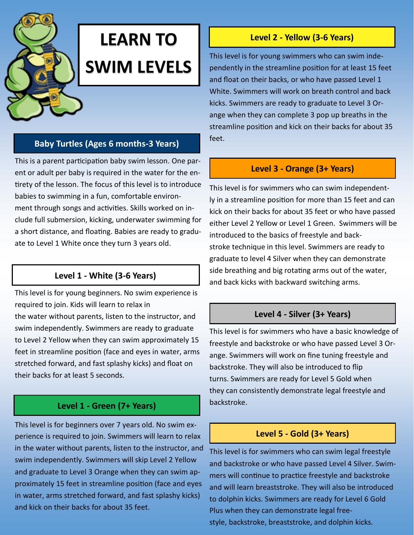# **LEARN TO SWIM LEVELS**

### **Baby Turtles (Ages 6 months-3 Years)**

This is a parent participation baby swim lesson. One parent or adult per baby is required in the water for the entirety of the lesson. The focus of this level is to introduce babies to swimming in a fun, comfortable environment through songs and activities. Skills worked on include full submersion, kicking, underwater swimming for a short distance, and floating. Babies are ready to graduate to Level 1 White once they turn 3 years old.

# **Level 1 - White (3-6 Years)**

This level is for young beginners. No swim experience is required to join. Kids will learn to relax in the water without parents, listen to the instructor, and swim independently. Swimmers are ready to graduate to Level 2 Yellow when they can swim approximately 15 feet in streamline position (face and eyes in water, arms stretched forward, and fast splashy kicks) and float on their backs for at least 5 seconds.

# **Level 1 - Green (7+ Years)**

This level is for beginners over 7 years old. No swim experience is required to join. Swimmers will learn to relax in the water without parents, listen to the instructor, and swim independently. Swimmers will skip Level 2 Yellow and graduate to Level 3 Orange when they can swim approximately 15 feet in streamline position (face and eyes in water, arms stretched forward, and fast splashy kicks) and kick on their backs for about 35 feet.

### **Level 2 - Yellow (3-6 Years)**

This level is for young swimmers who can swim independently in the streamline position for at least 15 feet and float on their backs, or who have passed Level 1 White. Swimmers will work on breath control and back kicks. Swimmers are ready to graduate to Level 3 Orange when they can complete 3 pop up breaths in the streamline position and kick on their backs for about 35 feet.

# **Level 3 - Orange (3+ Years)**

This level is for swimmers who can swim independently in a streamline position for more than 15 feet and can kick on their backs for about 35 feet or who have passed either Level 2 Yellow or Level 1 Green. Swimmers will be introduced to the basics of freestyle and backstroke technique in this level. Swimmers are ready to graduate to level 4 Silver when they can demonstrate side breathing and big rotating arms out of the water, and back kicks with backward switching arms.

### **Level 4 - Silver (3+ Years)**

This level is for swimmers who have a basic knowledge of freestyle and backstroke or who have passed Level 3 Orange. Swimmers will work on fine tuning freestyle and backstroke. They will also be introduced to flip turns. Swimmers are ready for Level 5 Gold when they can consistently demonstrate legal freestyle and backstroke.

### **Level 5 - Gold (3+ Years)**

This level is for swimmers who can swim legal freestyle and backstroke or who have passed Level 4 Silver. Swimmers will continue to practice freestyle and backstroke and will learn breaststroke. They will also be introduced to dolphin kicks. Swimmers are ready for Level 6 Gold Plus when they can demonstrate legal freestyle, backstroke, breaststroke, and dolphin kicks.